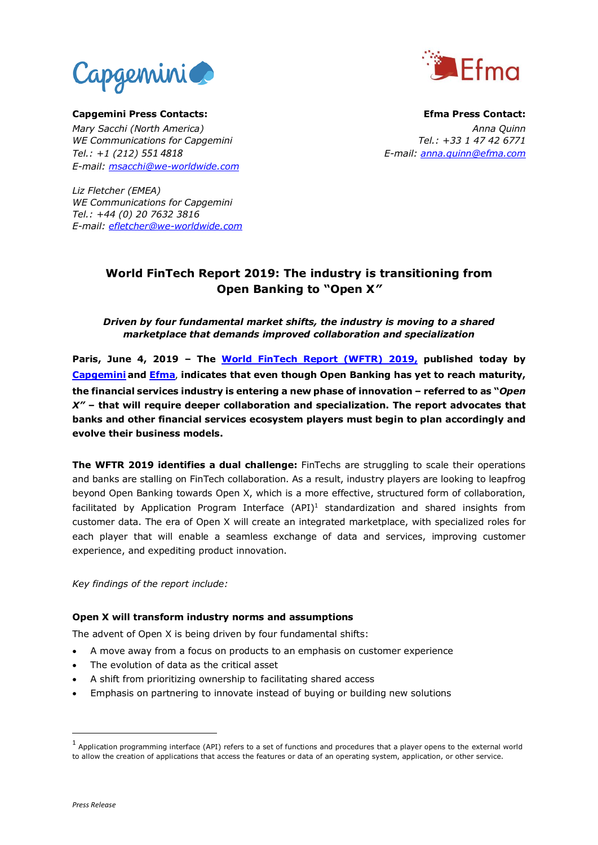



**Capgemini Press Contacts: Efma Press Contact:** *Mary Sacchi (North America) Anna Quinn WE Communications for Capgemini Tel.: +33 1 47 42 6771 Tel.: +1 (212) 551 4818 E-mail: anna.quinn@efma.com E-mail: [msacchi@we-worldwide.com](mailto:msacchi@we-worldwide.com)*

*Liz Fletcher (EMEA) WE Communications for Capgemini Tel.: +44 (0) 20 7632 3816 E-mail: efletcher@we-worldwide.com*

# **World FinTech Report 2019: The industry is transitioning from Open Banking to "Open X***"*

# *Driven by four fundamental market shifts, the industry is moving to a shared marketplace that demands improved collaboration and specialization*

**Paris, June 4, 2019 – The [World FinTech Report \(WFTR\) 2019,](https://fintechworldreport.com/) published today by [Capgemini](https://www.capgemini.com/) and [Efma](https://www.efma.com/)**, **indicates that even though Open Banking has yet to reach maturity, the financial services industry is entering a new phase of innovation – referred to as "***Open X"* **– that will require deeper collaboration and specialization. The report advocates that banks and other financial services ecosystem players must begin to plan accordingly and evolve their business models.**

**The WFTR 2019 identifies a dual challenge:** FinTechs are struggling to scale their operations and banks are stalling on FinTech collaboration. As a result, industry players are looking to leapfrog beyond Open Banking towards Open X, which is a more effective, structured form of collaboration, facilitated by Application Program Interface (API)<sup>1</sup> standardization and shared insights from customer data. The era of Open X will create an integrated marketplace, with specialized roles for each player that will enable a seamless exchange of data and services, improving customer experience, and expediting product innovation.

*Key findings of the report include:*

## **Open X will transform industry norms and assumptions**

The advent of Open X is being driven by four fundamental shifts:

- A move away from a focus on products to an emphasis on customer experience
- The evolution of data as the critical asset
- A shift from prioritizing ownership to facilitating shared access
- Emphasis on partnering to innovate instead of buying or building new solutions

1

 $<sup>1</sup>$  Application programming interface (API) refers to a set of functions and procedures that a player opens to the external world</sup> to allow the creation of applications that access the features or data of an operating system, application, or other service.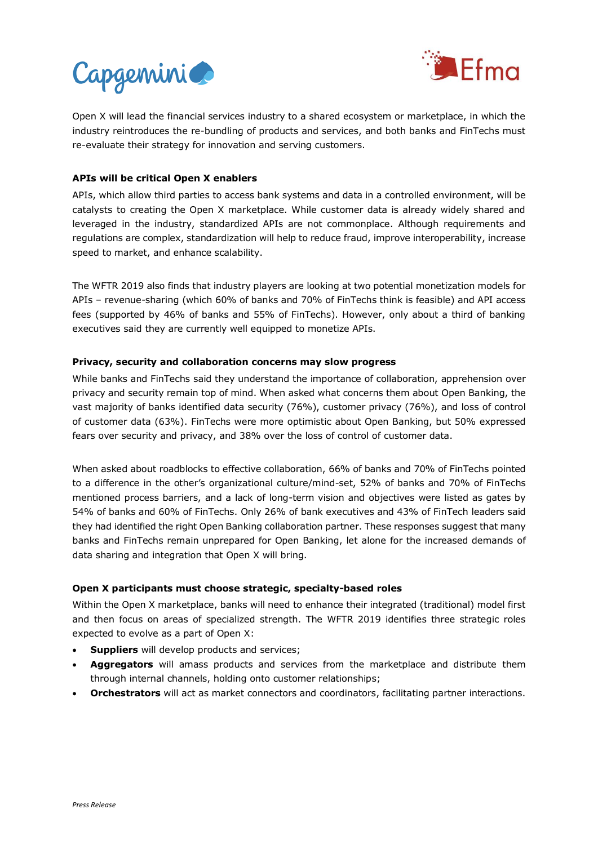



Open X will lead the financial services industry to a shared ecosystem or marketplace, in which the industry reintroduces the re-bundling of products and services, and both banks and FinTechs must re-evaluate their strategy for innovation and serving customers.

## **APIs will be critical Open X enablers**

APIs, which allow third parties to access bank systems and data in a controlled environment, will be catalysts to creating the Open X marketplace. While customer data is already widely shared and leveraged in the industry, standardized APIs are not commonplace. Although requirements and regulations are complex, standardization will help to reduce fraud, improve interoperability, increase speed to market, and enhance scalability.

The WFTR 2019 also finds that industry players are looking at two potential monetization models for APIs – revenue-sharing (which 60% of banks and 70% of FinTechs think is feasible) and API access fees (supported by 46% of banks and 55% of FinTechs). However, only about a third of banking executives said they are currently well equipped to monetize APIs.

## **Privacy, security and collaboration concerns may slow progress**

While banks and FinTechs said they understand the importance of collaboration, apprehension over privacy and security remain top of mind. When asked what concerns them about Open Banking, the vast majority of banks identified data security (76%), customer privacy (76%), and loss of control of customer data (63%). FinTechs were more optimistic about Open Banking, but 50% expressed fears over security and privacy, and 38% over the loss of control of customer data.

When asked about roadblocks to effective collaboration, 66% of banks and 70% of FinTechs pointed to a difference in the other's organizational culture/mind-set, 52% of banks and 70% of FinTechs mentioned process barriers, and a lack of long-term vision and objectives were listed as gates by 54% of banks and 60% of FinTechs. Only 26% of bank executives and 43% of FinTech leaders said they had identified the right Open Banking collaboration partner. These responses suggest that many banks and FinTechs remain unprepared for Open Banking, let alone for the increased demands of data sharing and integration that Open X will bring.

## **Open X participants must choose strategic, specialty-based roles**

Within the Open X marketplace, banks will need to enhance their integrated (traditional) model first and then focus on areas of specialized strength. The WFTR 2019 identifies three strategic roles expected to evolve as a part of Open X:

- **Suppliers** will develop products and services;
- **Aggregators** will amass products and services from the marketplace and distribute them through internal channels, holding onto customer relationships;
- **Orchestrators** will act as market connectors and coordinators, facilitating partner interactions.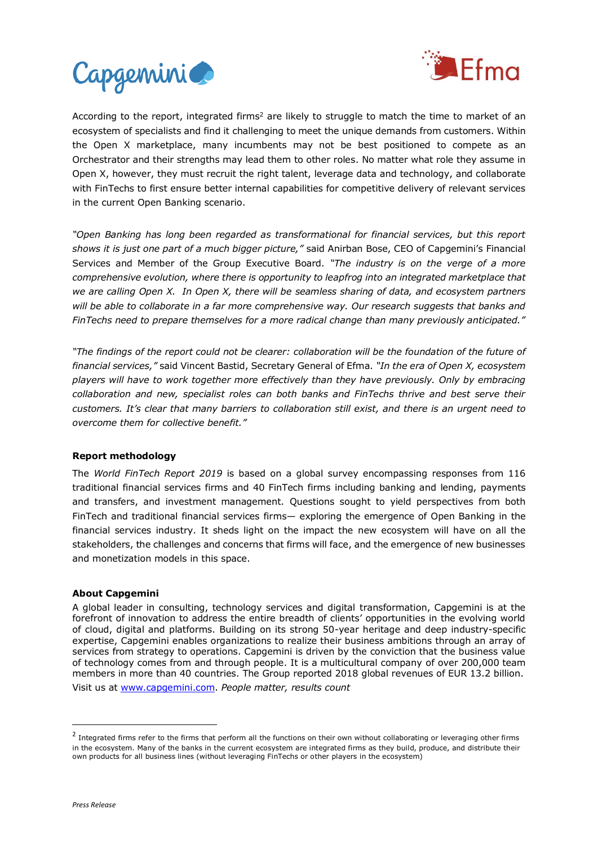



According to the report, integrated firms<sup>2</sup> are likely to struggle to match the time to market of an ecosystem of specialists and find it challenging to meet the unique demands from customers. Within the Open X marketplace, many incumbents may not be best positioned to compete as an Orchestrator and their strengths may lead them to other roles. No matter what role they assume in Open X, however, they must recruit the right talent, leverage data and technology, and collaborate with FinTechs to first ensure better internal capabilities for competitive delivery of relevant services in the current Open Banking scenario.

*"Open Banking has long been regarded as transformational for financial services, but this report shows it is just one part of a much bigger picture,"* said Anirban Bose, CEO of Capgemini's Financial Services and Member of the Group Executive Board*. "The industry is on the verge of a more comprehensive evolution, where there is opportunity to leapfrog into an integrated marketplace that we are calling Open X. In Open X, there will be seamless sharing of data, and ecosystem partners*  will be able to collaborate in a far more comprehensive way. Our research suggests that banks and FinTechs need to prepare themselves for a more radical change than many previously anticipated."

*"The findings of the report could not be clearer: collaboration will be the foundation of the future of financial services,"* said Vincent Bastid, Secretary General of Efma. *"In the era of Open X, ecosystem players will have to work together more effectively than they have previously. Only by embracing collaboration and new, specialist roles can both banks and FinTechs thrive and best serve their customers. It's clear that many barriers to collaboration still exist, and there is an urgent need to overcome them for collective benefit."*

#### **Report methodology**

The *World FinTech Report 2019* is based on a global survey encompassing responses from 116 traditional financial services firms and 40 FinTech firms including banking and lending, payments and transfers, and investment management. Questions sought to yield perspectives from both FinTech and traditional financial services firms— exploring the emergence of Open Banking in the financial services industry. It sheds light on the impact the new ecosystem will have on all the stakeholders, the challenges and concerns that firms will face, and the emergence of new businesses and monetization models in this space.

#### **About Capgemini**

A global leader in consulting, technology services and digital transformation, Capgemini is at the forefront of innovation to address the entire breadth of clients' opportunities in the evolving world of cloud, digital and platforms. Building on its strong 50-year heritage and deep industry-specific expertise, Capgemini enables organizations to realize their business ambitions through an array of services from strategy to operations. Capgemini is driven by the conviction that the business value of technology comes from and through people. It is a multicultural company of over 200,000 team members in more than 40 countries. The Group reported 2018 global revenues of EUR 13.2 billion. Visit us at [www.capgemini.com.](http://www.capgemini.com/#_blank) *People matter, results count*

1

 $^2$  Integrated firms refer to the firms that perform all the functions on their own without collaborating or leveraging other firms in the ecosystem. Many of the banks in the current ecosystem are integrated firms as they build, produce, and distribute their own products for all business lines (without leveraging FinTechs or other players in the ecosystem)